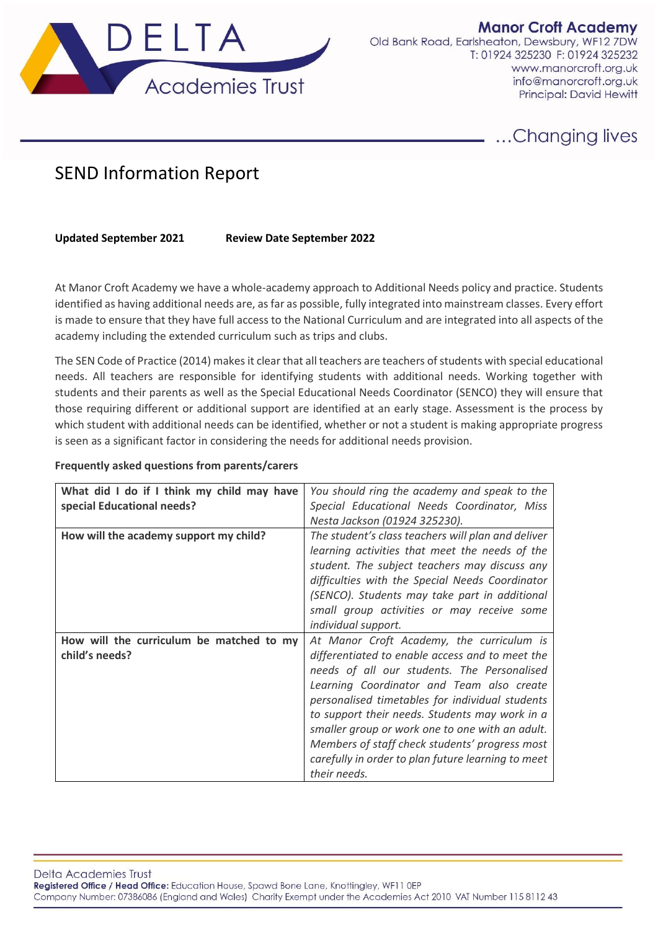

**Manor Croft Academy** Old Bank Road, Earlsheaton, Dewsbury, WF12 7DW T: 01924 325230 F: 01924 325232 www.manorcroft.org.uk info@manorcroft.org.uk Principal: David Hewitt

# .Changing lives

# SEND Information Report

## **Updated September 2021 Review Date September 2022**

At Manor Croft Academy we have a whole-academy approach to Additional Needs policy and practice. Students identified as having additional needs are, as far as possible, fully integrated into mainstream classes. Every effort is made to ensure that they have full access to the National Curriculum and are integrated into all aspects of the academy including the extended curriculum such as trips and clubs.

The SEN Code of Practice (2014) makes it clear that all teachers are teachers of students with special educational needs. All teachers are responsible for identifying students with additional needs. Working together with students and their parents as well as the Special Educational Needs Coordinator (SENCO) they will ensure that those requiring different or additional support are identified at an early stage. Assessment is the process by which student with additional needs can be identified, whether or not a student is making appropriate progress is seen as a significant factor in considering the needs for additional needs provision.

#### **Frequently asked questions from parents/carers**

| What did I do if I think my child may have | You should ring the academy and speak to the       |
|--------------------------------------------|----------------------------------------------------|
| special Educational needs?                 | Special Educational Needs Coordinator, Miss        |
|                                            |                                                    |
|                                            | Nesta Jackson (01924 325230).                      |
| How will the academy support my child?     | The student's class teachers will plan and deliver |
|                                            | learning activities that meet the needs of the     |
|                                            | student. The subject teachers may discuss any      |
|                                            | difficulties with the Special Needs Coordinator    |
|                                            | (SENCO). Students may take part in additional      |
|                                            | small group activities or may receive some         |
|                                            | individual support.                                |
| How will the curriculum be matched to my   | At Manor Croft Academy, the curriculum is          |
| child's needs?                             | differentiated to enable access and to meet the    |
|                                            | needs of all our students. The Personalised        |
|                                            | Learning Coordinator and Team also create          |
|                                            | personalised timetables for individual students    |
|                                            | to support their needs. Students may work in a     |
|                                            | smaller group or work one to one with an adult.    |
|                                            | Members of staff check students' progress most     |
|                                            | carefully in order to plan future learning to meet |
|                                            | their needs.                                       |

Delta Academies Trust Registered Office / Head Office: Education House, Spawd Bone Lane, Knottingley, WF11 0EP Company Number: 07386086 (England and Wales) Charity Exempt under the Academies Act 2010 VAT Number 115 8112 43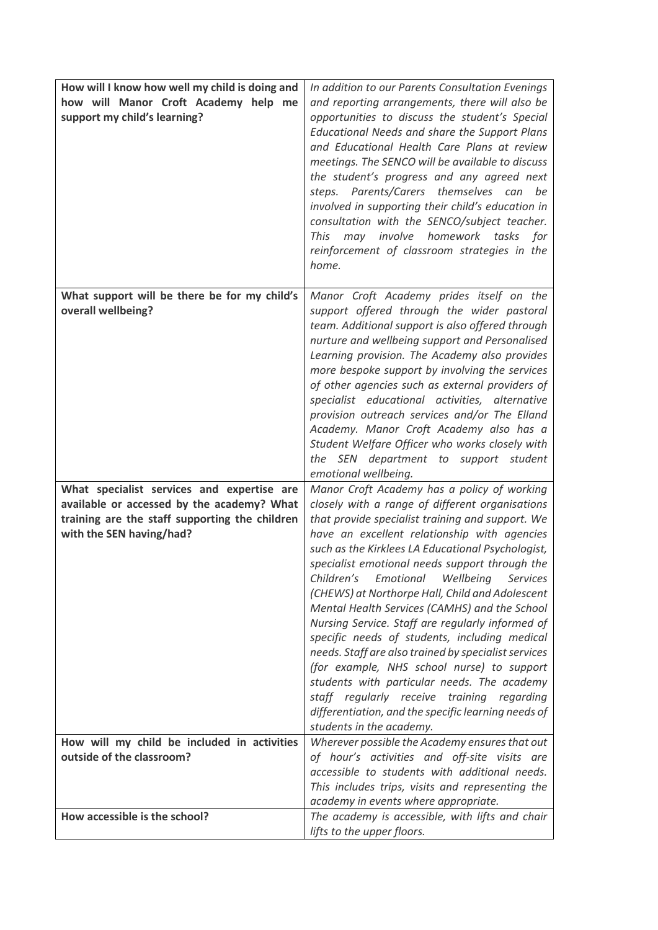| How will I know how well my child is doing and<br>how will Manor Croft Academy help me<br>support my child's learning?   | In addition to our Parents Consultation Evenings<br>and reporting arrangements, there will also be<br>opportunities to discuss the student's Special<br>Educational Needs and share the Support Plans<br>and Educational Health Care Plans at review<br>meetings. The SENCO will be available to discuss<br>the student's progress and any agreed next<br>steps. Parents/Carers themselves can be<br>involved in supporting their child's education in<br>consultation with the SENCO/subject teacher.<br>may involve homework tasks for<br>This<br>reinforcement of classroom strategies in the<br>home.                                                                                                                                                                                                     |
|--------------------------------------------------------------------------------------------------------------------------|---------------------------------------------------------------------------------------------------------------------------------------------------------------------------------------------------------------------------------------------------------------------------------------------------------------------------------------------------------------------------------------------------------------------------------------------------------------------------------------------------------------------------------------------------------------------------------------------------------------------------------------------------------------------------------------------------------------------------------------------------------------------------------------------------------------|
| What support will be there be for my child's<br>overall wellbeing?                                                       | Manor Croft Academy prides itself on the<br>support offered through the wider pastoral<br>team. Additional support is also offered through<br>nurture and wellbeing support and Personalised<br>Learning provision. The Academy also provides<br>more bespoke support by involving the services<br>of other agencies such as external providers of<br>specialist educational activities, alternative<br>provision outreach services and/or The Elland<br>Academy. Manor Croft Academy also has a<br>Student Welfare Officer who works closely with<br>the SEN department to support student<br>emotional wellbeing.                                                                                                                                                                                           |
| What specialist services and expertise are                                                                               | Manor Croft Academy has a policy of working                                                                                                                                                                                                                                                                                                                                                                                                                                                                                                                                                                                                                                                                                                                                                                   |
| available or accessed by the academy? What<br>training are the staff supporting the children<br>with the SEN having/had? | closely with a range of different organisations<br>that provide specialist training and support. We<br>have an excellent relationship with agencies<br>such as the Kirklees LA Educational Psychologist,<br>specialist emotional needs support through the<br>Children's<br>Emotional<br>Wellbeing<br>Services<br>(CHEWS) at Northorpe Hall, Child and Adolescent<br>Mental Health Services (CAMHS) and the School<br>Nursing Service. Staff are regularly informed of<br>specific needs of students, including medical<br>needs. Staff are also trained by specialist services<br>(for example, NHS school nurse) to support<br>students with particular needs. The academy<br>staff regularly receive training regarding<br>differentiation, and the specific learning needs of<br>students in the academy. |
| How will my child be included in activities                                                                              | Wherever possible the Academy ensures that out                                                                                                                                                                                                                                                                                                                                                                                                                                                                                                                                                                                                                                                                                                                                                                |
| outside of the classroom?                                                                                                | of hour's activities and off-site visits are<br>accessible to students with additional needs.<br>This includes trips, visits and representing the<br>academy in events where appropriate.                                                                                                                                                                                                                                                                                                                                                                                                                                                                                                                                                                                                                     |
| How accessible is the school?                                                                                            | The academy is accessible, with lifts and chair<br>lifts to the upper floors.                                                                                                                                                                                                                                                                                                                                                                                                                                                                                                                                                                                                                                                                                                                                 |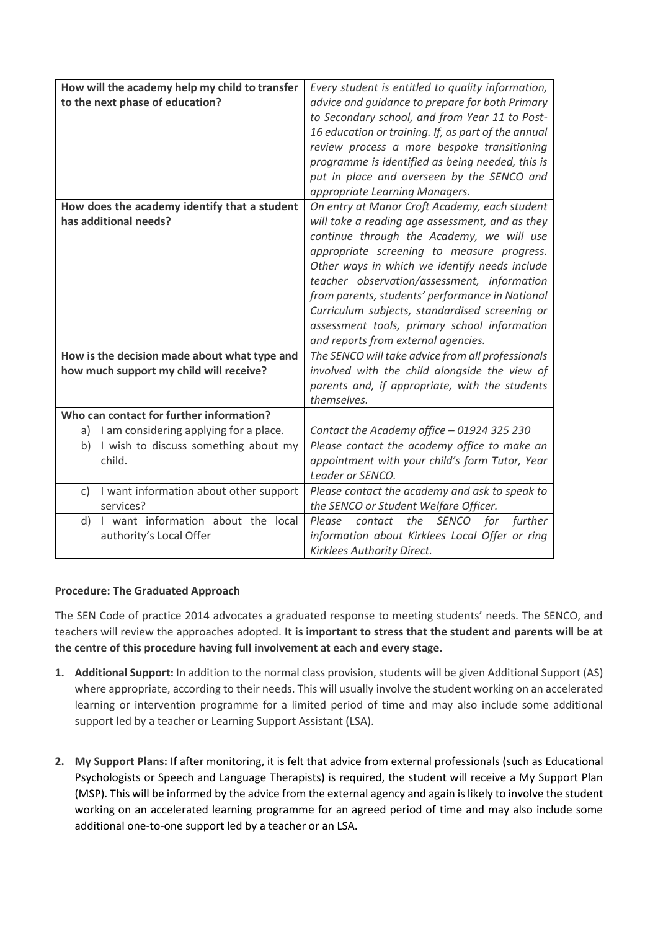| How will the academy help my child to transfer | Every student is entitled to quality information,   |
|------------------------------------------------|-----------------------------------------------------|
|                                                |                                                     |
| to the next phase of education?                | advice and guidance to prepare for both Primary     |
|                                                | to Secondary school, and from Year 11 to Post-      |
|                                                | 16 education or training. If, as part of the annual |
|                                                | review process a more bespoke transitioning         |
|                                                | programme is identified as being needed, this is    |
|                                                | put in place and overseen by the SENCO and          |
|                                                | appropriate Learning Managers.                      |
| How does the academy identify that a student   | On entry at Manor Croft Academy, each student       |
| has additional needs?                          | will take a reading age assessment, and as they     |
|                                                | continue through the Academy, we will use           |
|                                                | appropriate screening to measure progress.          |
|                                                | Other ways in which we identify needs include       |
|                                                | teacher observation/assessment, information         |
|                                                | from parents, students' performance in National     |
|                                                | Curriculum subjects, standardised screening or      |
|                                                | assessment tools, primary school information        |
|                                                | and reports from external agencies.                 |
| How is the decision made about what type and   | The SENCO will take advice from all professionals   |
| how much support my child will receive?        | involved with the child alongside the view of       |
|                                                | parents and, if appropriate, with the students      |
|                                                |                                                     |
|                                                | themselves.                                         |
| Who can contact for further information?       |                                                     |
| I am considering applying for a place.<br>a)   | Contact the Academy office - 01924 325 230          |
| I wish to discuss something about my<br>b)     | Please contact the academy office to make an        |
| child.                                         | appointment with your child's form Tutor, Year      |
|                                                | Leader or SENCO.                                    |
| I want information about other support<br>c)   | Please contact the academy and ask to speak to      |
| services?                                      | the SENCO or Student Welfare Officer.               |
| I want information about the local<br>d)       | further<br>Please<br>contact<br>the SENCO for       |
| authority's Local Offer                        | information about Kirklees Local Offer or ring      |
|                                                | Kirklees Authority Direct.                          |

## **Procedure: The Graduated Approach**

The SEN Code of practice 2014 advocates a graduated response to meeting students' needs. The SENCO, and teachers will review the approaches adopted. **It is important to stress that the student and parents will be at the centre of this procedure having full involvement at each and every stage.** 

- **1. Additional Support:** In addition to the normal class provision, students will be given Additional Support (AS) where appropriate, according to their needs. This will usually involve the student working on an accelerated learning or intervention programme for a limited period of time and may also include some additional support led by a teacher or Learning Support Assistant (LSA).
- **2. My Support Plans:** If after monitoring, it is felt that advice from external professionals (such as Educational Psychologists or Speech and Language Therapists) is required, the student will receive a My Support Plan (MSP). This will be informed by the advice from the external agency and again is likely to involve the student working on an accelerated learning programme for an agreed period of time and may also include some additional one-to-one support led by a teacher or an LSA.